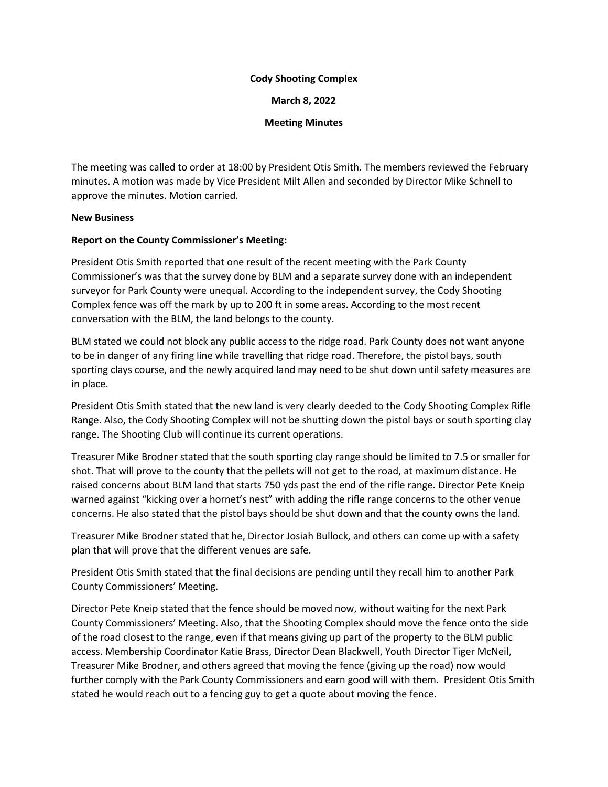## **Cody Shooting Complex**

**March 8, 2022**

**Meeting Minutes**

The meeting was called to order at 18:00 by President Otis Smith. The members reviewed the February minutes. A motion was made by Vice President Milt Allen and seconded by Director Mike Schnell to approve the minutes. Motion carried.

## **New Business**

## **Report on the County Commissioner's Meeting:**

President Otis Smith reported that one result of the recent meeting with the Park County Commissioner's was that the survey done by BLM and a separate survey done with an independent surveyor for Park County were unequal. According to the independent survey, the Cody Shooting Complex fence was off the mark by up to 200 ft in some areas. According to the most recent conversation with the BLM, the land belongs to the county.

BLM stated we could not block any public access to the ridge road. Park County does not want anyone to be in danger of any firing line while travelling that ridge road. Therefore, the pistol bays, south sporting clays course, and the newly acquired land may need to be shut down until safety measures are in place.

President Otis Smith stated that the new land is very clearly deeded to the Cody Shooting Complex Rifle Range. Also, the Cody Shooting Complex will not be shutting down the pistol bays or south sporting clay range. The Shooting Club will continue its current operations.

Treasurer Mike Brodner stated that the south sporting clay range should be limited to 7.5 or smaller for shot. That will prove to the county that the pellets will not get to the road, at maximum distance. He raised concerns about BLM land that starts 750 yds past the end of the rifle range. Director Pete Kneip warned against "kicking over a hornet's nest" with adding the rifle range concerns to the other venue concerns. He also stated that the pistol bays should be shut down and that the county owns the land.

Treasurer Mike Brodner stated that he, Director Josiah Bullock, and others can come up with a safety plan that will prove that the different venues are safe.

President Otis Smith stated that the final decisions are pending until they recall him to another Park County Commissioners' Meeting.

Director Pete Kneip stated that the fence should be moved now, without waiting for the next Park County Commissioners' Meeting. Also, that the Shooting Complex should move the fence onto the side of the road closest to the range, even if that means giving up part of the property to the BLM public access. Membership Coordinator Katie Brass, Director Dean Blackwell, Youth Director Tiger McNeil, Treasurer Mike Brodner, and others agreed that moving the fence (giving up the road) now would further comply with the Park County Commissioners and earn good will with them. President Otis Smith stated he would reach out to a fencing guy to get a quote about moving the fence.